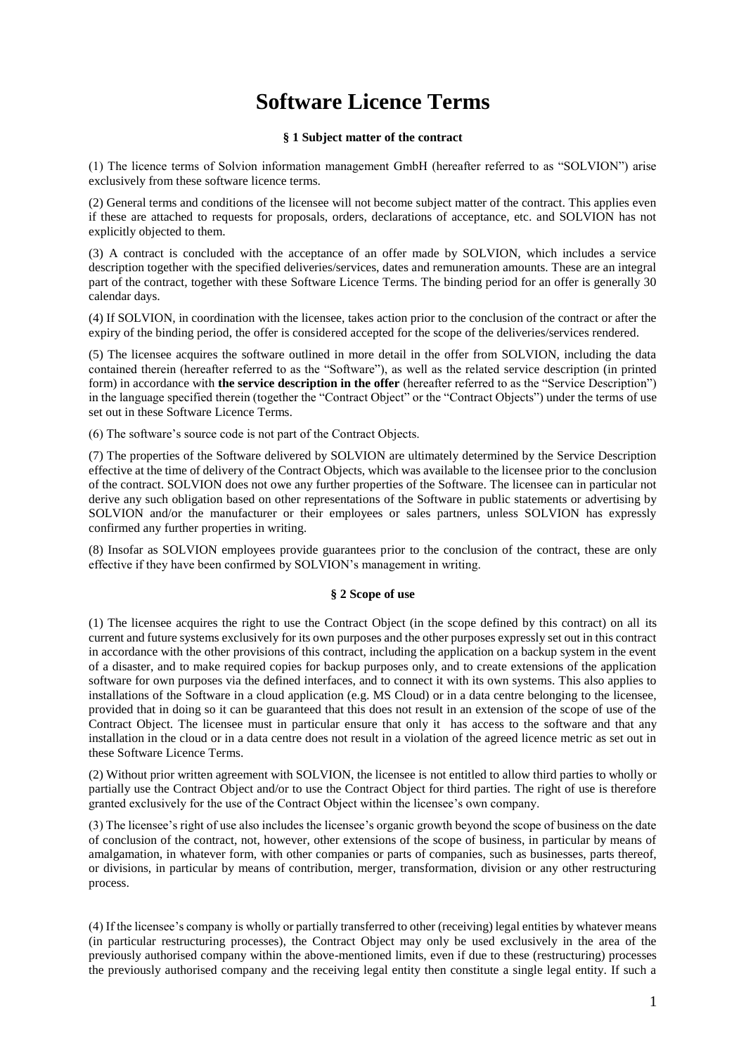# **Software Licence Terms**

## **§ 1 Subject matter of the contract**

(1) The licence terms of Solvion information management GmbH (hereafter referred to as "SOLVION") arise exclusively from these software licence terms.

(2) General terms and conditions of the licensee will not become subject matter of the contract. This applies even if these are attached to requests for proposals, orders, declarations of acceptance, etc. and SOLVION has not explicitly objected to them.

(3) A contract is concluded with the acceptance of an offer made by SOLVION, which includes a service description together with the specified deliveries/services, dates and remuneration amounts. These are an integral part of the contract, together with these Software Licence Terms. The binding period for an offer is generally 30 calendar days.

(4) If SOLVION, in coordination with the licensee, takes action prior to the conclusion of the contract or after the expiry of the binding period, the offer is considered accepted for the scope of the deliveries/services rendered.

(5) The licensee acquires the software outlined in more detail in the offer from SOLVION, including the data contained therein (hereafter referred to as the "Software"), as well as the related service description (in printed form) in accordance with **the service description in the offer** (hereafter referred to as the "Service Description") in the language specified therein (together the "Contract Object" or the "Contract Objects") under the terms of use set out in these Software Licence Terms.

(6) The software's source code is not part of the Contract Objects.

(7) The properties of the Software delivered by SOLVION are ultimately determined by the Service Description effective at the time of delivery of the Contract Objects, which was available to the licensee prior to the conclusion of the contract. SOLVION does not owe any further properties of the Software. The licensee can in particular not derive any such obligation based on other representations of the Software in public statements or advertising by SOLVION and/or the manufacturer or their employees or sales partners, unless SOLVION has expressly confirmed any further properties in writing.

(8) Insofar as SOLVION employees provide guarantees prior to the conclusion of the contract, these are only effective if they have been confirmed by SOLVION's management in writing.

#### **§ 2 Scope of use**

(1) The licensee acquires the right to use the Contract Object (in the scope defined by this contract) on all its current and future systems exclusively for its own purposes and the other purposes expressly set out in this contract in accordance with the other provisions of this contract, including the application on a backup system in the event of a disaster, and to make required copies for backup purposes only, and to create extensions of the application software for own purposes via the defined interfaces, and to connect it with its own systems. This also applies to installations of the Software in a cloud application (e.g. MS Cloud) or in a data centre belonging to the licensee, provided that in doing so it can be guaranteed that this does not result in an extension of the scope of use of the Contract Object. The licensee must in particular ensure that only it has access to the software and that any installation in the cloud or in a data centre does not result in a violation of the agreed licence metric as set out in these Software Licence Terms.

(2) Without prior written agreement with SOLVION, the licensee is not entitled to allow third parties to wholly or partially use the Contract Object and/or to use the Contract Object for third parties. The right of use is therefore granted exclusively for the use of the Contract Object within the licensee's own company.

(3) The licensee's right of use also includes the licensee's organic growth beyond the scope of business on the date of conclusion of the contract, not, however, other extensions of the scope of business, in particular by means of amalgamation, in whatever form, with other companies or parts of companies, such as businesses, parts thereof, or divisions, in particular by means of contribution, merger, transformation, division or any other restructuring process.

(4) If the licensee's company is wholly or partially transferred to other (receiving) legal entities by whatever means (in particular restructuring processes), the Contract Object may only be used exclusively in the area of the previously authorised company within the above-mentioned limits, even if due to these (restructuring) processes the previously authorised company and the receiving legal entity then constitute a single legal entity. If such a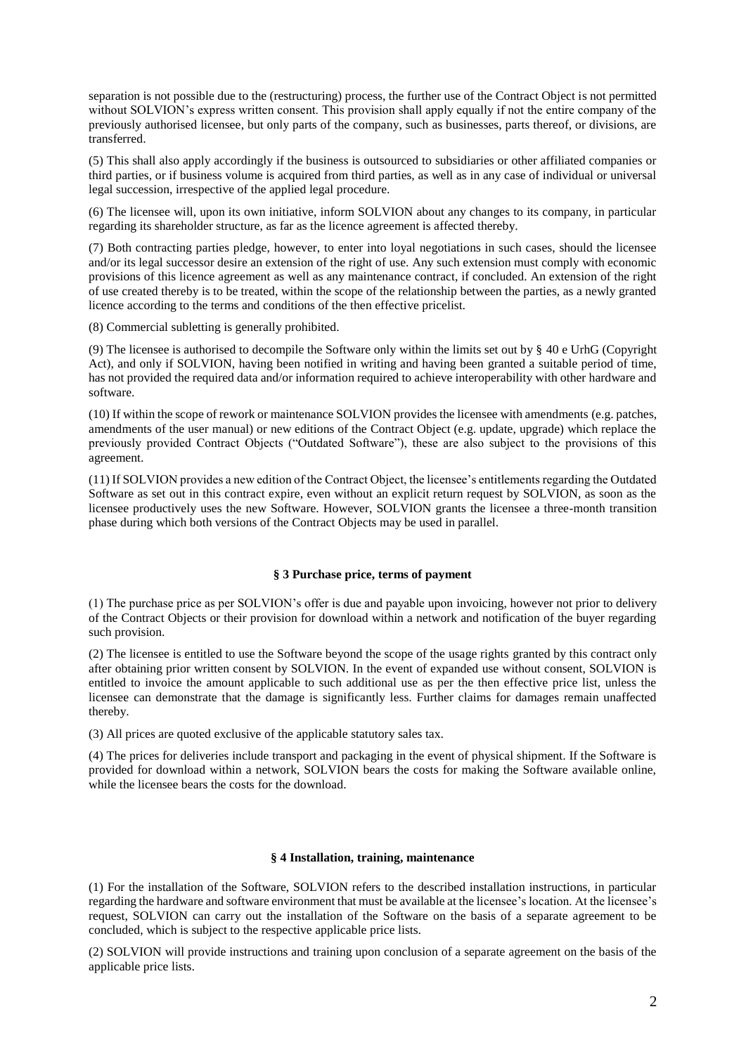separation is not possible due to the (restructuring) process, the further use of the Contract Object is not permitted without SOLVION's express written consent. This provision shall apply equally if not the entire company of the previously authorised licensee, but only parts of the company, such as businesses, parts thereof, or divisions, are transferred.

(5) This shall also apply accordingly if the business is outsourced to subsidiaries or other affiliated companies or third parties, or if business volume is acquired from third parties, as well as in any case of individual or universal legal succession, irrespective of the applied legal procedure.

(6) The licensee will, upon its own initiative, inform SOLVION about any changes to its company, in particular regarding its shareholder structure, as far as the licence agreement is affected thereby.

(7) Both contracting parties pledge, however, to enter into loyal negotiations in such cases, should the licensee and/or its legal successor desire an extension of the right of use. Any such extension must comply with economic provisions of this licence agreement as well as any maintenance contract, if concluded. An extension of the right of use created thereby is to be treated, within the scope of the relationship between the parties, as a newly granted licence according to the terms and conditions of the then effective pricelist.

(8) Commercial subletting is generally prohibited.

(9) The licensee is authorised to decompile the Software only within the limits set out by § 40 e UrhG (Copyright Act), and only if SOLVION, having been notified in writing and having been granted a suitable period of time, has not provided the required data and/or information required to achieve interoperability with other hardware and software.

(10) If within the scope of rework or maintenance SOLVION provides the licensee with amendments (e.g. patches, amendments of the user manual) or new editions of the Contract Object (e.g. update, upgrade) which replace the previously provided Contract Objects ("Outdated Software"), these are also subject to the provisions of this agreement.

(11) If SOLVION provides a new edition of the Contract Object, the licensee's entitlements regarding the Outdated Software as set out in this contract expire, even without an explicit return request by SOLVION, as soon as the licensee productively uses the new Software. However, SOLVION grants the licensee a three-month transition phase during which both versions of the Contract Objects may be used in parallel.

#### **§ 3 Purchase price, terms of payment**

(1) The purchase price as per SOLVION's offer is due and payable upon invoicing, however not prior to delivery of the Contract Objects or their provision for download within a network and notification of the buyer regarding such provision.

(2) The licensee is entitled to use the Software beyond the scope of the usage rights granted by this contract only after obtaining prior written consent by SOLVION. In the event of expanded use without consent, SOLVION is entitled to invoice the amount applicable to such additional use as per the then effective price list, unless the licensee can demonstrate that the damage is significantly less. Further claims for damages remain unaffected thereby.

(3) All prices are quoted exclusive of the applicable statutory sales tax.

(4) The prices for deliveries include transport and packaging in the event of physical shipment. If the Software is provided for download within a network, SOLVION bears the costs for making the Software available online, while the licensee bears the costs for the download.

### **§ 4 Installation, training, maintenance**

(1) For the installation of the Software, SOLVION refers to the described installation instructions, in particular regarding the hardware and software environment that must be available at the licensee's location. At the licensee's request, SOLVION can carry out the installation of the Software on the basis of a separate agreement to be concluded, which is subject to the respective applicable price lists.

(2) SOLVION will provide instructions and training upon conclusion of a separate agreement on the basis of the applicable price lists.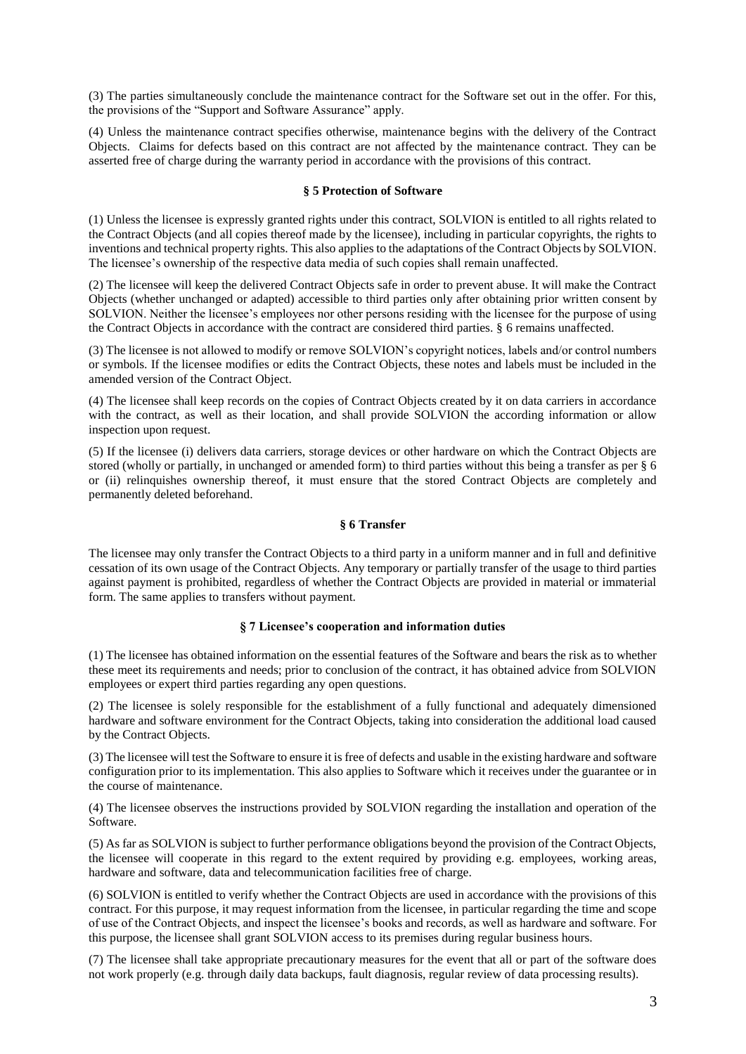(3) The parties simultaneously conclude the maintenance contract for the Software set out in the offer. For this, the provisions of the "Support and Software Assurance" apply.

(4) Unless the maintenance contract specifies otherwise, maintenance begins with the delivery of the Contract Objects. Claims for defects based on this contract are not affected by the maintenance contract. They can be asserted free of charge during the warranty period in accordance with the provisions of this contract.

#### **§ 5 Protection of Software**

(1) Unless the licensee is expressly granted rights under this contract, SOLVION is entitled to all rights related to the Contract Objects (and all copies thereof made by the licensee), including in particular copyrights, the rights to inventions and technical property rights. This also applies to the adaptations of the Contract Objects by SOLVION. The licensee's ownership of the respective data media of such copies shall remain unaffected.

(2) The licensee will keep the delivered Contract Objects safe in order to prevent abuse. It will make the Contract Objects (whether unchanged or adapted) accessible to third parties only after obtaining prior written consent by SOLVION. Neither the licensee's employees nor other persons residing with the licensee for the purpose of using the Contract Objects in accordance with the contract are considered third parties. § 6 remains unaffected.

(3) The licensee is not allowed to modify or remove SOLVION's copyright notices, labels and/or control numbers or symbols. If the licensee modifies or edits the Contract Objects, these notes and labels must be included in the amended version of the Contract Object.

(4) The licensee shall keep records on the copies of Contract Objects created by it on data carriers in accordance with the contract, as well as their location, and shall provide SOLVION the according information or allow inspection upon request.

(5) If the licensee (i) delivers data carriers, storage devices or other hardware on which the Contract Objects are stored (wholly or partially, in unchanged or amended form) to third parties without this being a transfer as per § 6 or (ii) relinquishes ownership thereof, it must ensure that the stored Contract Objects are completely and permanently deleted beforehand.

#### **§ 6 Transfer**

The licensee may only transfer the Contract Objects to a third party in a uniform manner and in full and definitive cessation of its own usage of the Contract Objects. Any temporary or partially transfer of the usage to third parties against payment is prohibited, regardless of whether the Contract Objects are provided in material or immaterial form. The same applies to transfers without payment.

## **§ 7 Licensee's cooperation and information duties**

(1) The licensee has obtained information on the essential features of the Software and bears the risk as to whether these meet its requirements and needs; prior to conclusion of the contract, it has obtained advice from SOLVION employees or expert third parties regarding any open questions.

(2) The licensee is solely responsible for the establishment of a fully functional and adequately dimensioned hardware and software environment for the Contract Objects, taking into consideration the additional load caused by the Contract Objects.

(3) The licensee will test the Software to ensure it is free of defects and usable in the existing hardware and software configuration prior to its implementation. This also applies to Software which it receives under the guarantee or in the course of maintenance.

(4) The licensee observes the instructions provided by SOLVION regarding the installation and operation of the Software.

(5) As far as SOLVION is subject to further performance obligations beyond the provision of the Contract Objects, the licensee will cooperate in this regard to the extent required by providing e.g. employees, working areas, hardware and software, data and telecommunication facilities free of charge.

(6) SOLVION is entitled to verify whether the Contract Objects are used in accordance with the provisions of this contract. For this purpose, it may request information from the licensee, in particular regarding the time and scope of use of the Contract Objects, and inspect the licensee's books and records, as well as hardware and software. For this purpose, the licensee shall grant SOLVION access to its premises during regular business hours.

(7) The licensee shall take appropriate precautionary measures for the event that all or part of the software does not work properly (e.g. through daily data backups, fault diagnosis, regular review of data processing results).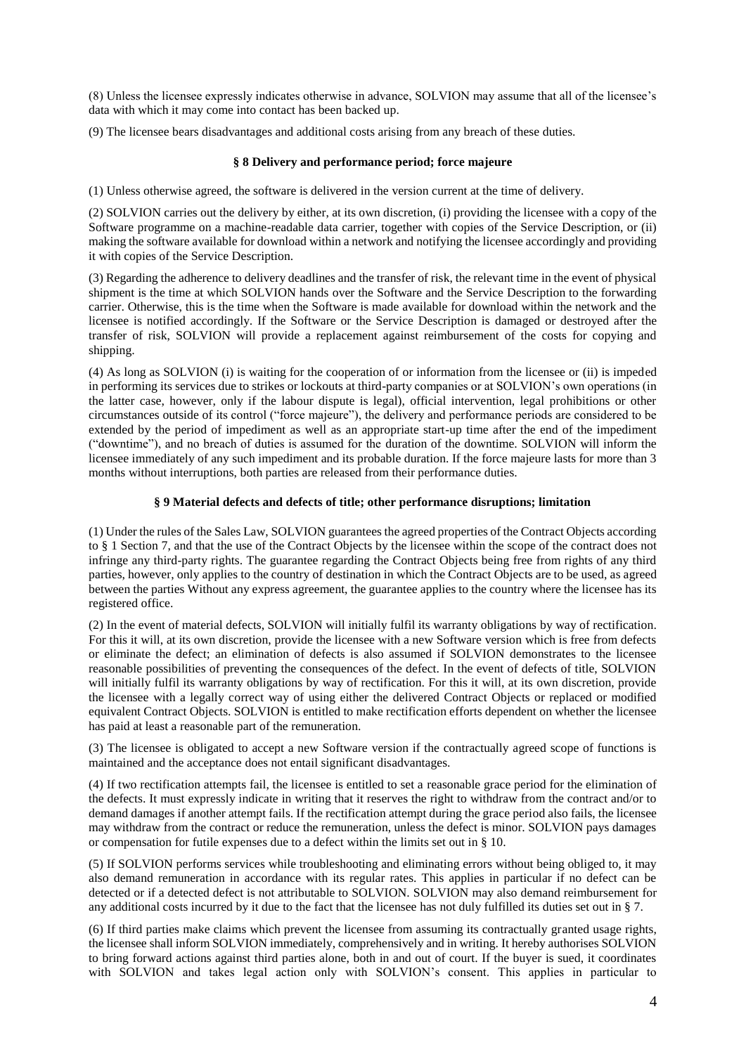(8) Unless the licensee expressly indicates otherwise in advance, SOLVION may assume that all of the licensee's data with which it may come into contact has been backed up.

(9) The licensee bears disadvantages and additional costs arising from any breach of these duties.

## **§ 8 Delivery and performance period; force majeure**

(1) Unless otherwise agreed, the software is delivered in the version current at the time of delivery.

(2) SOLVION carries out the delivery by either, at its own discretion, (i) providing the licensee with a copy of the Software programme on a machine-readable data carrier, together with copies of the Service Description, or (ii) making the software available for download within a network and notifying the licensee accordingly and providing it with copies of the Service Description.

(3) Regarding the adherence to delivery deadlines and the transfer of risk, the relevant time in the event of physical shipment is the time at which SOLVION hands over the Software and the Service Description to the forwarding carrier. Otherwise, this is the time when the Software is made available for download within the network and the licensee is notified accordingly. If the Software or the Service Description is damaged or destroyed after the transfer of risk, SOLVION will provide a replacement against reimbursement of the costs for copying and shipping.

(4) As long as SOLVION (i) is waiting for the cooperation of or information from the licensee or (ii) is impeded in performing its services due to strikes or lockouts at third-party companies or at SOLVION's own operations (in the latter case, however, only if the labour dispute is legal), official intervention, legal prohibitions or other circumstances outside of its control ("force majeure"), the delivery and performance periods are considered to be extended by the period of impediment as well as an appropriate start-up time after the end of the impediment ("downtime"), and no breach of duties is assumed for the duration of the downtime. SOLVION will inform the licensee immediately of any such impediment and its probable duration. If the force majeure lasts for more than 3 months without interruptions, both parties are released from their performance duties.

## **§ 9 Material defects and defects of title; other performance disruptions; limitation**

(1) Under the rules of the Sales Law, SOLVION guarantees the agreed properties of the Contract Objects according to § 1 Section 7, and that the use of the Contract Objects by the licensee within the scope of the contract does not infringe any third-party rights. The guarantee regarding the Contract Objects being free from rights of any third parties, however, only applies to the country of destination in which the Contract Objects are to be used, as agreed between the parties Without any express agreement, the guarantee applies to the country where the licensee has its registered office.

(2) In the event of material defects, SOLVION will initially fulfil its warranty obligations by way of rectification. For this it will, at its own discretion, provide the licensee with a new Software version which is free from defects or eliminate the defect; an elimination of defects is also assumed if SOLVION demonstrates to the licensee reasonable possibilities of preventing the consequences of the defect. In the event of defects of title, SOLVION will initially fulfil its warranty obligations by way of rectification. For this it will, at its own discretion, provide the licensee with a legally correct way of using either the delivered Contract Objects or replaced or modified equivalent Contract Objects. SOLVION is entitled to make rectification efforts dependent on whether the licensee has paid at least a reasonable part of the remuneration.

(3) The licensee is obligated to accept a new Software version if the contractually agreed scope of functions is maintained and the acceptance does not entail significant disadvantages.

(4) If two rectification attempts fail, the licensee is entitled to set a reasonable grace period for the elimination of the defects. It must expressly indicate in writing that it reserves the right to withdraw from the contract and/or to demand damages if another attempt fails. If the rectification attempt during the grace period also fails, the licensee may withdraw from the contract or reduce the remuneration, unless the defect is minor. SOLVION pays damages or compensation for futile expenses due to a defect within the limits set out in § 10.

(5) If SOLVION performs services while troubleshooting and eliminating errors without being obliged to, it may also demand remuneration in accordance with its regular rates. This applies in particular if no defect can be detected or if a detected defect is not attributable to SOLVION. SOLVION may also demand reimbursement for any additional costs incurred by it due to the fact that the licensee has not duly fulfilled its duties set out in § 7.

(6) If third parties make claims which prevent the licensee from assuming its contractually granted usage rights, the licensee shall inform SOLVION immediately, comprehensively and in writing. It hereby authorises SOLVION to bring forward actions against third parties alone, both in and out of court. If the buyer is sued, it coordinates with SOLVION and takes legal action only with SOLVION's consent. This applies in particular to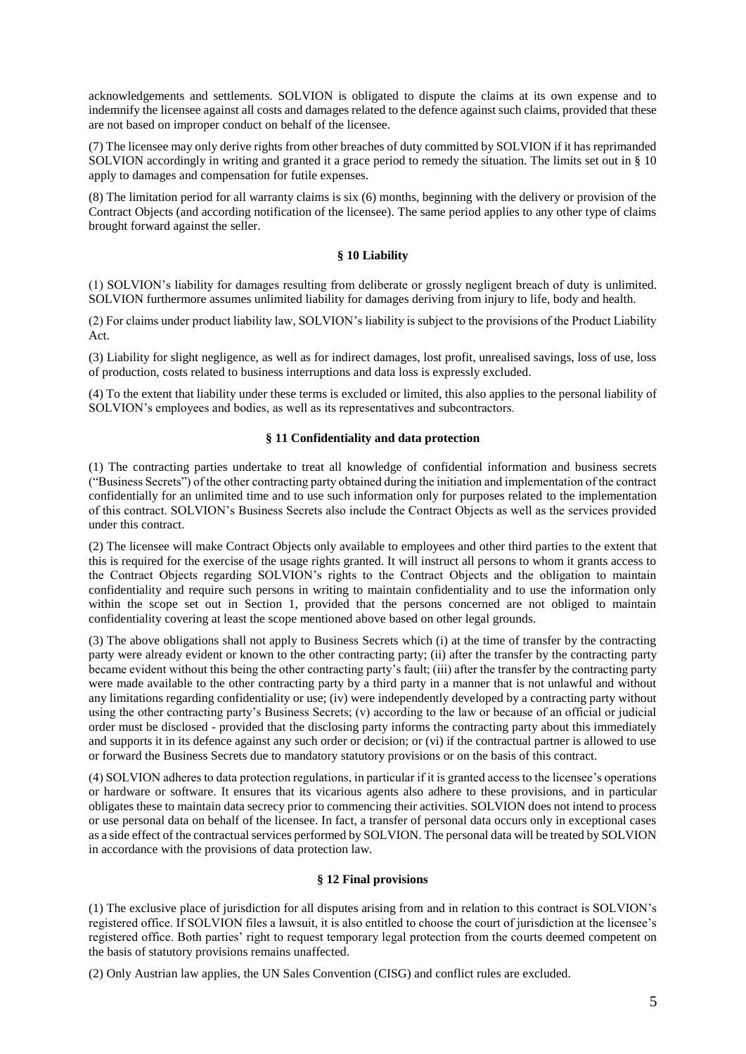acknowledgements and settlements. SOLVION is obligated to dispute the claims at its own expense and to indemnify the licensee against all costs and damages related to the defence against such claims, provided that these are not based on improper conduct on behalf of the licensee.

(7) The licensee may only derive rights from other breaches of duty committed by SOLVION if it has reprimanded SOLVION accordingly in writing and granted it a grace period to remedy the situation. The limits set out in § 10 apply to damages and compensation for futile expenses.

(8) The limitation period for all warranty claims is six (6) months, beginning with the delivery or provision of the Contract Objects (and according notification of the licensee). The same period applies to any other type of claims brought forward against the seller.

## **§ 10 Liability**

(1) SOLVION's liability for damages resulting from deliberate or grossly negligent breach of duty is unlimited. SOLVION furthermore assumes unlimited liability for damages deriving from injury to life, body and health.

(2) For claims under product liability law, SOLVION's liability is subject to the provisions of the Product Liability Act.

(3) Liability for slight negligence, as well as for indirect damages, lost profit, unrealised savings, loss of use, loss of production, costs related to business interruptions and data loss is expressly excluded.

(4) To the extent that liability under these terms is excluded or limited, this also applies to the personal liability of SOLVION's employees and bodies, as well as its representatives and subcontractors.

## **§ 11 Confidentiality and data protection**

(1) The contracting parties undertake to treat all knowledge of confidential information and business secrets ("Business Secrets") of the other contracting party obtained during the initiation and implementation of the contract confidentially for an unlimited time and to use such information only for purposes related to the implementation of this contract. SOLVION's Business Secrets also include the Contract Objects as well as the services provided under this contract.

(2) The licensee will make Contract Objects only available to employees and other third parties to the extent that this is required for the exercise of the usage rights granted. It will instruct all persons to whom it grants access to the Contract Objects regarding SOLVION's rights to the Contract Objects and the obligation to maintain confidentiality and require such persons in writing to maintain confidentiality and to use the information only within the scope set out in Section 1, provided that the persons concerned are not obliged to maintain confidentiality covering at least the scope mentioned above based on other legal grounds.

(3) The above obligations shall not apply to Business Secrets which (i) at the time of transfer by the contracting party were already evident or known to the other contracting party; (ii) after the transfer by the contracting party became evident without this being the other contracting party's fault; (iii) after the transfer by the contracting party were made available to the other contracting party by a third party in a manner that is not unlawful and without any limitations regarding confidentiality or use; (iv) were independently developed by a contracting party without using the other contracting party's Business Secrets; (v) according to the law or because of an official or judicial order must be disclosed - provided that the disclosing party informs the contracting party about this immediately and supports it in its defence against any such order or decision; or (vi) if the contractual partner is allowed to use or forward the Business Secrets due to mandatory statutory provisions or on the basis of this contract.

(4) SOLVION adheres to data protection regulations, in particular if it is granted access to the licensee's operations or hardware or software. It ensures that its vicarious agents also adhere to these provisions, and in particular obligates these to maintain data secrecy prior to commencing their activities. SOLVION does not intend to process or use personal data on behalf of the licensee. In fact, a transfer of personal data occurs only in exceptional cases as a side effect of the contractual services performed by SOLVION. The personal data will be treated by SOLVION in accordance with the provisions of data protection law.

### **§ 12 Final provisions**

(1) The exclusive place of jurisdiction for all disputes arising from and in relation to this contract is SOLVION's registered office. If SOLVION files a lawsuit, it is also entitled to choose the court of jurisdiction at the licensee's registered office. Both parties' right to request temporary legal protection from the courts deemed competent on the basis of statutory provisions remains unaffected.

(2) Only Austrian law applies, the UN Sales Convention (CISG) and conflict rules are excluded.